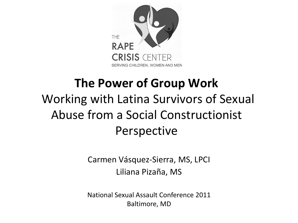

#### **The Power of Group Work** Working with Latina Survivors of Sexual Abuse from a Social Constructionist Perspective

Carmen Vásquez-Sierra, MS, LPCI Liliana Pizaña, MS

National Sexual Assault Conference 2011 Baltimore, MD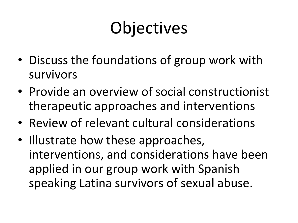## **Objectives**

- Discuss the foundations of group work with survivors
- Provide an overview of social constructionist therapeutic approaches and interventions
- Review of relevant cultural considerations
- Illustrate how these approaches, interventions, and considerations have been applied in our group work with Spanish speaking Latina survivors of sexual abuse.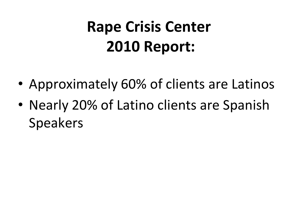### **Rape Crisis Center 2010 Report:**

- Approximately 60% of clients are Latinos
- Nearly 20% of Latino clients are Spanish Speakers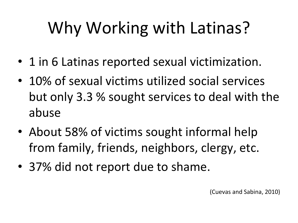## Why Working with Latinas?

- 1 in 6 Latinas reported sexual victimization.
- 10% of sexual victims utilized social services but only 3.3 % sought services to deal with the abuse
- About 58% of victims sought informal help from family, friends, neighbors, clergy, etc.
- 37% did not report due to shame.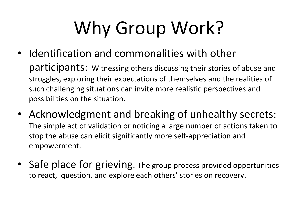# Why Group Work?

• Identification and commonalities with other

participants: Witnessing others discussing their stories of abuse and struggles, exploring their expectations of themselves and the realities of such challenging situations can invite more realistic perspectives and possibilities on the situation.

- Acknowledgment and breaking of unhealthy secrets: The simple act of validation or noticing a large number of actions taken to stop the abuse can elicit significantly more self-appreciation and empowerment.
- Safe place for grieving. The group process provided opportunities to react, question, and explore each others' stories on recovery.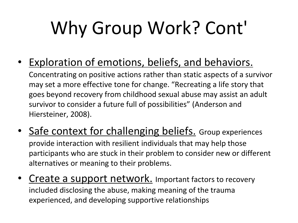# Why Group Work? Cont'

• Exploration of emotions, beliefs, and behaviors.

Concentrating on positive actions rather than static aspects of a survivor may set a more effective tone for change. "Recreating a life story that goes beyond recovery from childhood sexual abuse may assist an adult survivor to consider a future full of possibilities" (Anderson and Hiersteiner, 2008).

- Safe context for challenging beliefs. Group experiences provide interaction with resilient individuals that may help those participants who are stuck in their problem to consider new or different alternatives or meaning to their problems.
- **Create a support network.** Important factors to recovery included disclosing the abuse, making meaning of the trauma experienced, and developing supportive relationships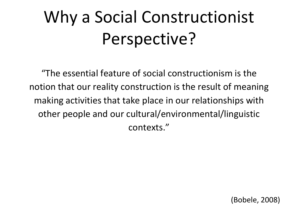## Why a Social Constructionist Perspective?

"The essential feature of social constructionism is the notion that our reality construction is the result of meaning making activities that take place in our relationships with other people and our cultural/environmental/linguistic contexts."

(Bobele, 2008)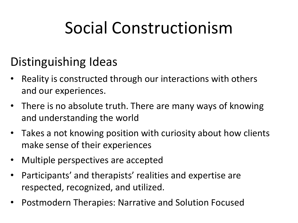### Social Constructionism

#### Distinguishing Ideas

- Reality is constructed through our interactions with others and our experiences.
- There is no absolute truth. There are many ways of knowing and understanding the world
- Takes a not knowing position with curiosity about how clients make sense of their experiences
- Multiple perspectives are accepted
- Participants' and therapists' realities and expertise are respected, recognized, and utilized.
- Postmodern Therapies: Narrative and Solution Focused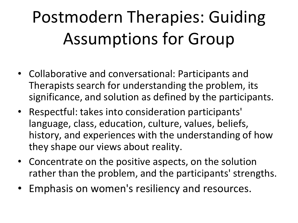## Postmodern Therapies: Guiding Assumptions for Group

- Collaborative and conversational: Participants and Therapists search for understanding the problem, its significance, and solution as defined by the participants.
- Respectful: takes into consideration participants' language, class, education, culture, values, beliefs, history, and experiences with the understanding of how they shape our views about reality.
- Concentrate on the positive aspects, on the solution rather than the problem, and the participants' strengths.
- Emphasis on women's resiliency and resources.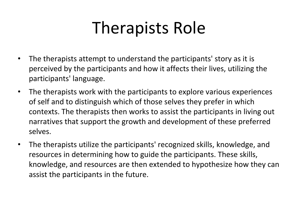### Therapists Role

- The therapists attempt to understand the participants' story as it is perceived by the participants and how it affects their lives, utilizing the participants' language.
- The therapists work with the participants to explore various experiences of self and to distinguish which of those selves they prefer in which contexts. The therapists then works to assist the participants in living out narratives that support the growth and development of these preferred selves.
- The therapists utilize the participants' recognized skills, knowledge, and resources in determining how to guide the participants. These skills, knowledge, and resources are then extended to hypothesize how they can assist the participants in the future.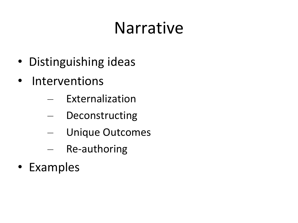### Narrative

- Distinguishing ideas
- Interventions
	- Externalization
	- Deconstructing
	- Unique Outcomes
	- Re-authoring
- Examples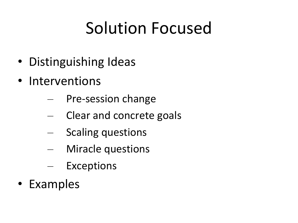### Solution Focused

- Distinguishing Ideas
- Interventions
	- Pre-session change
	- Clear and concrete goals
	- Scaling questions
	- Miracle questions
	- Exceptions
- Examples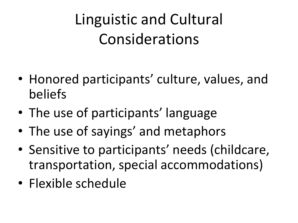Linguistic and Cultural Considerations

- Honored participants' culture, values, and beliefs
- The use of participants' language
- The use of sayings' and metaphors
- Sensitive to participants' needs (childcare, transportation, special accommodations)
- Flexible schedule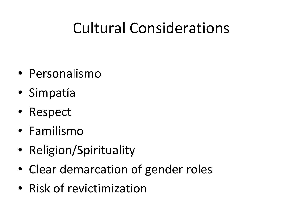### Cultural Considerations

- Personalismo
- Simpatía
- Respect
- Familismo
- Religion/Spirituality
- Clear demarcation of gender roles
- Risk of revictimization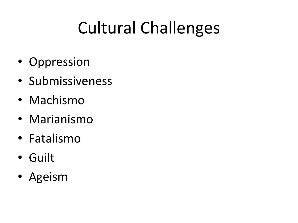## Cultural Challenges

- Oppression
- Submissiveness
- Machismo
- Marianismo
- Fatalismo
- Guilt
- Ageism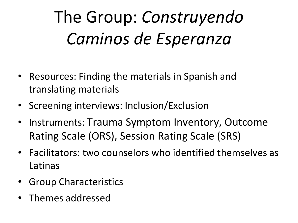## The Group: *Construyendo Caminos de Esperanza*

- Resources: Finding the materials in Spanish and translating materials
- Screening interviews: Inclusion/Exclusion
- Instruments: Trauma Symptom Inventory, Outcome Rating Scale (ORS), Session Rating Scale (SRS)
- Facilitators: two counselors who identified themselves as Latinas
- Group Characteristics
- Themes addressed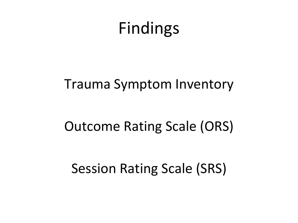### Findings

#### Trauma Symptom Inventory

#### Outcome Rating Scale (ORS)

#### Session Rating Scale (SRS)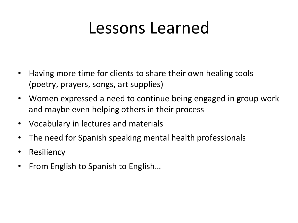### Lessons Learned

- Having more time for clients to share their own healing tools (poetry, prayers, songs, art supplies)
- Women expressed a need to continue being engaged in group work and maybe even helping others in their process
- Vocabulary in lectures and materials
- The need for Spanish speaking mental health professionals
- Resiliency
- From English to Spanish to English…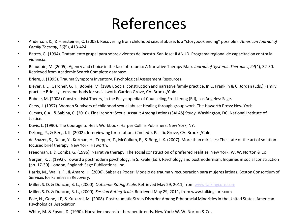### References

- Anderson, K., & Hiersteiner, C. (2008). Recovering from childhood sexual abuse: Is a "storybook ending" possible?. *American Journal of Family Therapy*, *36*(5), 413-424.
- Batres, G. (1994). Tratamiento grupal para sobrevivientes de incesto. San Jose: ILANUD. Programa regional de capacitacion contra la violencia.
- Beaudoin, M. (2005). Agency and choice in the face of trauma: A Narrative Therapy Map. *Journal of Systemic Therapies*, *24*(4), 32-50. Retrieved from Academic Search Complete database.
- Briere, J. (1995). Trauma Symptom Inventory. Psychological Assessment Resources.
- Biever, J. L., Gardner, G. T., Bobele, M. (1998). Social construction and narrative family practice. In C. Franklin & C. Jordan (Eds.) Family practice: Brief systems methods for social work. Garden Grove, CA: Brooks/Cole.
- Bobele, M. (2008) Constructivist Theory, in the Encyclopedia of Counseling,Fred Leong (Ed), Los Angeles: Sage.
- Chew, J. (1997). Women Survivors of childhood sexual abuse: Healing through group work. The Haworth Press: New York.
- Cuevas, C.A., & Sabina, C. (2010). Final report: Sexual Assault Among Latinas (SALAS) Study. Washington, DC: National Institute of Justice.
- Davis, L. (1990). The Courage to Heal: Workbook. Harper Collins Publishers: New York, NY.
- DeJong, P., & Berg, I. K. (2002). Interviewing for solutions (2nd ed.). Pacific Grove, CA: Brooks/Cole
- de Shazer, S., Dolan, Y., Korman, H., Trepper, T., McCollum, E., & Berg, I. K. (2007). More than miracles: The state of the art of solutionfocused brief therapy. New York: Haworth.
- Freedman, J. & Combs, G. (1996). Narrative therapy: The social construction of preferred realities. New York: W. W. Norton & Co.
- Gergen, K. J. (1992). Toward a postmodern psychology. In S. Kvale (Ed.), Psychology and postmodernism: Inquiries in social construction (pp. 17-30). London, England: Sage Publications, Inc.
- Harris, M., Wallis, F., & Amaro, H. (2006). Saber es Poder: Modelo de trauma y recuperacion para mujeres latinas. Boston Consortium of Services for Families in Recovery.
- Miller, S. D. & Duncan, B. L., (2000). *Outcome Rating Scale*. Retrieved May 29, 2011, from [www.talkingcure.com](http://www.talkingcure.com/)
- Miller, S. D. & Duncan, B. L., (2000). *Session Rating Scale*. Retrieved May 29, 2011, from www.talkingcure.com
- Pole, N., Gone, J.P, & Kulkarni, M. (2008). Posttraumatic Stress Disorder Among Ethnoracial Minorities in the United States. American Psychological Association:
- White, M. & Epson, D. (1990). Narrative means to therapeutic ends. New York: W. W. Norton & Co.